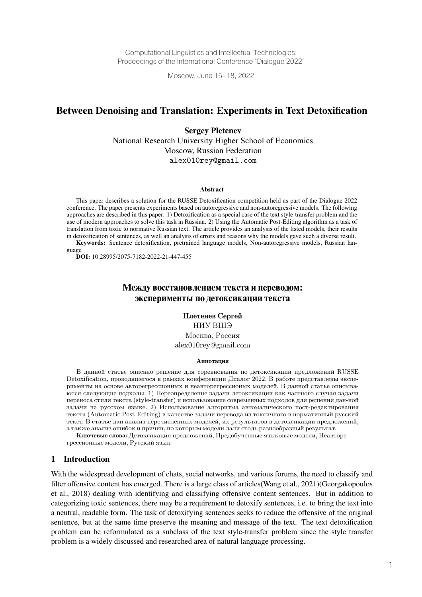Computational Linguistics and Intellectual Technologies: Proceedings of the International Conference "Dialogue 2022"

Moscow, June 15–18, 2022

# Between Denoising and Translation: Experiments in Text Detoxification

Sergey Pletenev National Research University Higher School of Economics Moscow, Russian Federation alex010rey@gmail.com

#### Abstract

This paper describes a solution for the RUSSE Detoxification competition held as part of the Dialogue 2022 conference. The paper presents experiments based on autoregressive and non-autoregressive models. The following approaches are described in this paper: 1) Detoxification as a special case of the text style-transfer problem and the use of modern approaches to solve this task in Russian. 2) Using the Automatic Post-Editing algorithm as a task of translation from toxic to normative Russian text. The article provides an analysis of the listed models, their results in detoxification of sentences, as well an analysis of errors and reasons why the models gave such a diverse result.

Keywords: Sentence detoxification, pretrained language models, Non-autoregressive models, Russian language

DOI: 10.28995/2075-7182-2022-21-447-455

# Между восстановлением текста и переводом: эксперименты по детоксикации текста

Плетенев Сергей НИУ ВШЭ Москва, Россия alex010rey@gmail.com

#### Аннотация

В данной статье описано решение для соревнования по детоксикации предложений RUSSE Detoxification, проводящегося в рамках конференции Диалог 2022. В работе представлены эксперименты на основе авторегрессионных и неавторегрессионых моделей. В данной статье описываются следующие подходы: 1) Переопределение задачи детоксикации как частного случая задачи переноса стиля текста (style-transfer) и использование современных подходов для решения дан-ной задачи на русском языке. 2) Использование алгоритма автоматического пост-редактирования текста (Automatic Post-Editing) в качестве задачи перевода из токсичного в нормативный русский текст. В статье дан анализ перечисленных моделей, их результатов в детоксикации предложений, а также анализ ошибок и причин, по которым модели дали столь разнообразный результат.

Ключевые слова: Детоксикация предложений, Предобученные языковые модели, Неавторегрессионные модели, Русский язык

#### 1 Introduction

With the widespread development of chats, social networks, and various forums, the need to classify and filter offensive content has emerged. There is a large class of articles(Wang et al., 2021)(Georgakopoulos et al., 2018) dealing with identifying and classifying offensive content sentences. But in addition to categorizing toxic sentences, there may be a requirement to detoxify sentences, i.e. to bring the text into a neutral, readable form. The task of detoxifying sentences seeks to reduce the offensive of the original sentence, but at the same time preserve the meaning and message of the text. The text detoxification problem can be reformulated as a subclass of the text style-transfer problem since the style transfer problem is a widely discussed and researched area of natural language processing.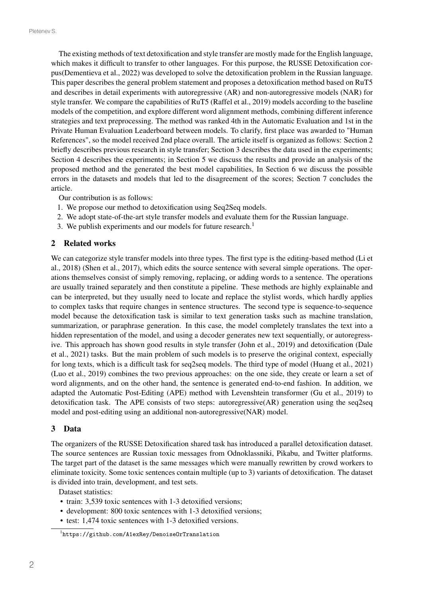The existing methods of text detoxification and style transfer are mostly made for the English language, which makes it difficult to transfer to other languages. For this purpose, the RUSSE Detoxification corpus(Dementieva et al., 2022) was developed to solve the detoxification problem in the Russian language. This paper describes the general problem statement and proposes a detoxification method based on RuT5 and describes in detail experiments with autoregressive (AR) and non-autoregressive models (NAR) for style transfer. We compare the capabilities of RuT5 (Raffel et al., 2019) models according to the baseline models of the competition, and explore different word alignment methods, combining different inference strategies and text preprocessing. The method was ranked 4th in the Automatic Evaluation and 1st in the Private Human Evaluation Leaderboard between models. To clarify, first place was awarded to "Human References", so the model received 2nd place overall. The article itself is organized as follows: Section 2 briefly describes previous research in style transfer; Section 3 describes the data used in the experiments; Section 4 describes the experiments; in Section 5 we discuss the results and provide an analysis of the proposed method and the generated the best model capabilities, In Section 6 we discuss the possible errors in the datasets and models that led to the disagreement of the scores; Section 7 concludes the article.

Our contribution is as follows:

- 1. We propose our method to detoxification using Seq2Seq models.
- 2. We adopt state-of-the-art style transfer models and evaluate them for the Russian language.
- 3. We publish experiments and our models for future research.<sup>1</sup>

## 2 Related works

We can categorize style transfer models into three types. The first type is the editing-based method (Li et al., 2018) (Shen et al., 2017), which edits the source sentence with several simple operations. The operations themselves consist of simply removing, replacing, or adding words to a sentence. The operations are usually trained separately and then constitute a pipeline. These methods are highly explainable and can be interpreted, but they usually need to locate and replace the stylist words, which hardly applies to complex tasks that require changes in sentence structures. The second type is sequence-to-sequence model because the detoxification task is similar to text generation tasks such as machine translation, summarization, or paraphrase generation. In this case, the model completely translates the text into a hidden representation of the model, and using a decoder generates new text sequentially, or autoregressive. This approach has shown good results in style transfer (John et al., 2019) and detoxification (Dale et al., 2021) tasks. But the main problem of such models is to preserve the original context, especially for long texts, which is a difficult task for seq2seq models. The third type of model (Huang et al., 2021) (Luo et al., 2019) combines the two previous approaches: on the one side, they create or learn a set of word alignments, and on the other hand, the sentence is generated end-to-end fashion. In addition, we adapted the Automatic Post-Editing (APE) method with Levenshtein transformer (Gu et al., 2019) to detoxification task. The APE consists of two steps: autoregressive(AR) generation using the seq2seq model and post-editing using an additional non-autoregressive(NAR) model.

## 3 Data

The organizers of the RUSSE Detoxification shared task has introduced a parallel detoxification dataset. The source sentences are Russian toxic messages from Odnoklassniki, Pikabu, and Twitter platforms. The target part of the dataset is the same messages which were manually rewritten by crowd workers to eliminate toxicity. Some toxic sentences contain multiple (up to 3) variants of detoxification. The dataset is divided into train, development, and test sets.

Dataset statistics:

- train: 3,539 toxic sentences with 1-3 detoxified versions;
- development: 800 toxic sentences with 1-3 detoxified versions;
- test: 1,474 toxic sentences with 1-3 detoxified versions.

<sup>1</sup> https://github.com/A1exRey/DenoiseOrTranslation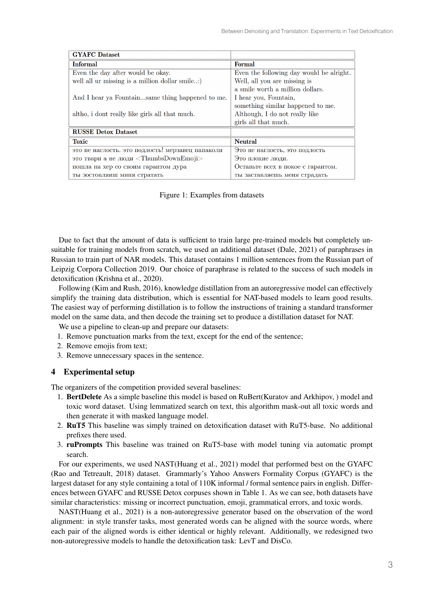| <b>GYAFC</b> Dataset                                    |                                          |
|---------------------------------------------------------|------------------------------------------|
| <b>Informal</b>                                         | <b>Formal</b>                            |
| Even the day after would be okay.                       | Even the following day would be alright. |
| well all ur missing is a million dollar smile)          | Well, all you are missing is             |
|                                                         | a smile worth a million dollars.         |
| And I hear ya Fountainsame thing happened to me.        | I hear you, Fountain,                    |
|                                                         | something similar happened to me.        |
| altho, i dont really like girls all that much.          | Although, I do not really like           |
|                                                         | girls all that much.                     |
| <b>RUSSE Detox Dataset</b>                              |                                          |
| <b>Toxic</b>                                            | <b>Neutral</b>                           |
| это не наглость. это подлость! мерзавец папаколи        | Это не наглость, это подлость            |
| это твари а не люди $\langle$ ThumbsDownEmoji $\rangle$ | Это плохие люди.                         |
| пошла на хер со своим гарантом дура                     | Оставьте всех в покое с гарантом.        |
| ты зостовляиш миня стратать                             | ты заставляешь меня страдать             |

Figure 1: Examples from datasets

Due to fact that the amount of data is sufficient to train large pre-trained models but completely unsuitable for training models from scratch, we used an additional dataset (Dale, 2021) of paraphrases in Russian to train part of NAR models. This dataset contains 1 million sentences from the Russian part of Leipzig Corpora Collection 2019. Our choice of paraphrase is related to the success of such models in detoxification (Krishna et al., 2020).

Following (Kim and Rush, 2016), knowledge distillation from an autoregressive model can effectively simplify the training data distribution, which is essential for NAT-based models to learn good results. The easiest way of performing distillation is to follow the instructions of training a standard transformer model on the same data, and then decode the training set to produce a distillation dataset for NAT.

We use a pipeline to clean-up and prepare our datasets:

- 1. Remove punctuation marks from the text, except for the end of the sentence;
- 2. Remove emojis from text;
- 3. Remove unnecessary spaces in the sentence.

## 4 Experimental setup

The organizers of the competition provided several baselines:

- 1. BertDelete As a simple baseline this model is based on RuBert(Kuratov and Arkhipov, ) model and toxic word dataset. Using lemmatized search on text, this algorithm mask-out all toxic words and then generate it with masked language model.
- 2. RuT5 This baseline was simply trained on detoxification dataset with RuT5-base. No additional prefixes there used.
- 3. ruPrompts This baseline was trained on RuT5-base with model tuning via automatic prompt search.

For our experiments, we used NAST(Huang et al., 2021) model that performed best on the GYAFC (Rao and Tetreault, 2018) dataset. Grammarly's Yahoo Answers Formality Corpus (GYAFC) is the largest dataset for any style containing a total of 110K informal / formal sentence pairs in english. Differences between GYAFC and RUSSE Detox corpuses shown in Table 1. As we can see, both datasets have similar characteristics: missing or incorrect punctuation, emoji, grammatical errors, and toxic words.

NAST(Huang et al., 2021) is a non-autoregressive generator based on the observation of the word alignment: in style transfer tasks, most generated words can be aligned with the source words, where each pair of the aligned words is either identical or highly relevant. Additionally, we redesigned two non-autoregressive models to handle the detoxification task: LevT and DisCo.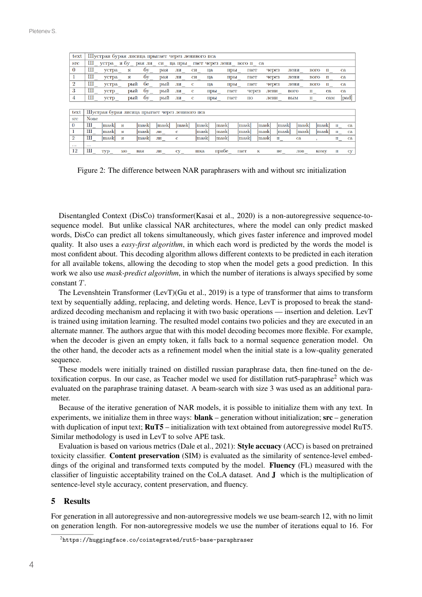| text           | Шустрая бурая лисица прыгает через ленивого пса |                                                 |     |        |                        |          |      |                 |      |           |      |                      |             |             |                 |                        |  |
|----------------|-------------------------------------------------|-------------------------------------------------|-----|--------|------------------------|----------|------|-----------------|------|-----------|------|----------------------|-------------|-------------|-----------------|------------------------|--|
| <b>STC</b>     |                                                 | Ш устра ябу                                     |     | рая ли | $\mathbf{C}\mathbf{M}$ | ца пры   |      | гает через лени |      | вого п са |      |                      |             |             |                 |                        |  |
| $\bf{0}$       | Ш                                               | устра                                           | я   | бу     | рая                    | ЛИ       | CИ   | ца              | пры  | гает      |      | через                | лени        | вого        | п               | ca                     |  |
| 1              | Ш                                               | устра                                           | я   | бy     | рая                    | ЛИ       | CИ   | ца              | пры  | гает      |      | через                | лени        | вого        | п               | ca                     |  |
| $\overline{2}$ | Ш                                               | устра                                           | рый | бе     | рый                    | ЛИ       | с    | ца              | пры  | гает      |      | через                | лени        | вого        | п               | ca                     |  |
| 3              | Ш                                               | устр                                            | рый | бу     | рый                    | ЛИ       | c    | пры_            | гает | через     |      | лени                 | <b>BOLO</b> | п           | ca              | ca.                    |  |
| 4              | Ш                                               | устр                                            | рый | бy     | рый                    | ЛИ       | c    | пры             | гает | ПО        |      | лени                 | вым         | п           | c <sub>am</sub> | [pad]                  |  |
|                |                                                 |                                                 |     |        |                        |          |      |                 |      |           |      |                      |             |             |                 |                        |  |
| text           |                                                 | Шустрая бурая лисица прыгает через ленивого пса |     |        |                        |          |      |                 |      |           |      |                      |             |             |                 |                        |  |
| <b>STC</b>     | <b>None</b>                                     |                                                 |     |        |                        |          |      |                 |      |           |      |                      |             |             |                 |                        |  |
| $\bf{0}$       | Ш                                               | mask                                            | я   | [mask] | mask                   | mask     | mask | mask            |      | mask      | mask | [mask]               | mask        |             | mask            | п<br>ca                |  |
|                | Ш                                               | mask                                            | я   | [mask] | ЛИ $_{-}$              | c        | mask | mask            |      | mask      | mask | mask                 | mask        |             | mask            | ca<br>п                |  |
| $\overline{2}$ | Ш                                               | [mask]                                          | я   | [mask] | ЛИ_                    | c        | mask | mask            |      | [mask]    | mask | $\mathbf{u}_{\perp}$ | ca          |             |                 | ca<br>$\mathbf{u}_{-}$ |  |
| $\cdots$       | $\cdots$                                        |                                                 |     |        |                        |          |      |                 |      |           |      |                      |             |             |                 |                        |  |
| 12             | Ш                                               | Typ_                                            | MO  | вая    | ли_                    | $cy_{-}$ | шка  | прибе           |      | гает      | к    | не                   | ЛОВ         | <b>KOMV</b> |                 | п<br>сy                |  |

Figure 2: The difference between NAR paraphrasers with and without src initialization

Disentangled Context (DisCo) transformer(Kasai et al., 2020) is a non-autoregressive sequence-tosequence model. But unlike classical NAR architectures, where the model can only predict masked words, DisCo can predict all tokens simultaneously, which gives faster inference and improved model quality. It also uses a *easy-first algorithm*, in which each word is predicted by the words the model is most confident about. This decoding algorithm allows different contexts to be predicted in each iteration for all available tokens, allowing the decoding to stop when the model gets a good prediction. In this work we also use *mask-predict algorithm*, in which the number of iterations is always specified by some constant  $T$ .

The Levenshtein Transformer (LevT)(Gu et al., 2019) is a type of transformer that aims to transform text by sequentially adding, replacing, and deleting words. Hence, LevT is proposed to break the standardized decoding mechanism and replacing it with two basic operations — insertion and deletion. LevT is trained using imitation learning. The resulted model contains two policies and they are executed in an alternate manner. The authors argue that with this model decoding becomes more flexible. For example, when the decoder is given an empty token, it falls back to a normal sequence generation model. On the other hand, the decoder acts as a refinement model when the initial state is a low-quality generated sequence.

These models were initially trained on distilled russian paraphrase data, then fine-tuned on the detoxification corpus. In our case, as Teacher model we used for distillation rut5-paraphrase<sup>2</sup> which was evaluated on the paraphrase training dataset. A beam-search with size 3 was used as an additional parameter.

Because of the iterative generation of NAR models, it is possible to initialize them with any text. In experiments, we initialize them in three ways:  $\text{blank}$  – generation without initialization;  $\text{src}$  – generation with duplication of input text;  $\text{RuTS}$  – initialization with text obtained from autoregressive model RuT5. Similar methodology is used in LevT to solve APE task.

Evaluation is based on various metrics (Dale et al., 2021): Style accuacy (ACC) is based on pretrained toxicity classifier. Content preservation (SIM) is evaluated as the similarity of sentence-level embeddings of the original and transformed texts computed by the model. Fluency (FL) measured with the classifier of linguistic acceptability trained on the CoLA dataset. And J which is the multiplication of sentence-level style accuracy, content preservation, and fluency.

#### 5 Results

For generation in all autoregressive and non-autoregressive models we use beam-search 12, with no limit on generation length. For non-autoregressive models we use the number of iterations equal to 16. For

 $^{2}$ https://huggingface.co/cointegrated/rut5-base-paraphraser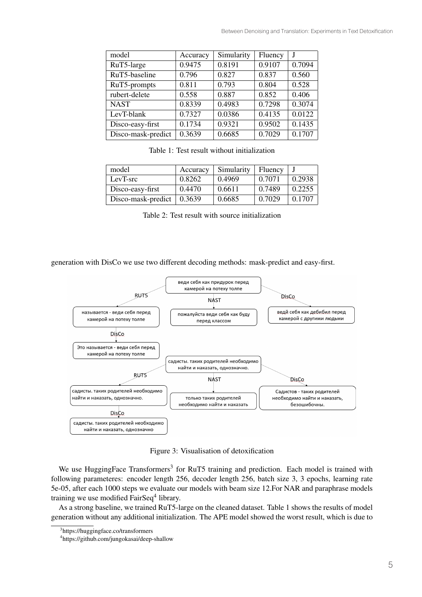| model              | Accuracy | Simularity | Fluency |        |
|--------------------|----------|------------|---------|--------|
| RuT5-large         | 0.9475   | 0.8191     | 0.9107  | 0.7094 |
| RuT5-baseline      | 0.796    | 0.827      | 0.837   | 0.560  |
| RuT5-prompts       | 0.811    | 0.793      | 0.804   | 0.528  |
| rubert-delete      | 0.558    | 0.887      | 0.852   | 0.406  |
| <b>NAST</b>        | 0.8339   | 0.4983     | 0.7298  | 0.3074 |
| LevT-blank         | 0.7327   | 0.0386     | 0.4135  | 0.0122 |
| Disco-easy-first   | 0.1734   | 0.9321     | 0.9502  | 0.1435 |
| Disco-mask-predict | 0.3639   | 0.6685     | 0.7029  | 0.1707 |

Table 1: Test result without initialization

| model              | Accuracy | Simularity | Fluency |        |
|--------------------|----------|------------|---------|--------|
| LevT-src           | 0.8262   | 0.4969     | 0.7071  | 0.2938 |
| Disco-easy-first   | 0.4470   | 0.6611     | 0.7489  | 0.2255 |
| Disco-mask-predict | 0.3639   | 0.6685     | 0.7029  | 0.1707 |

Table 2: Test result with source initialization

generation with DisCo we use two different decoding methods: mask-predict and easy-first.



Figure 3: Visualisation of detoxification

We use HuggingFace Transformers<sup>3</sup> for RuT5 training and prediction. Each model is trained with following parameteres: encoder length 256, decoder length 256, batch size 3, 3 epochs, learning rate 5e-05, after each 1000 steps we evaluate our models with beam size 12.For NAR and paraphrase models training we use modified FairSeq<sup>4</sup> library.

As a strong baseline, we trained RuT5-large on the cleaned dataset. Table 1 shows the results of model generation without any additional initialization. The APE model showed the worst result, which is due to

<sup>3</sup> https://huggingface.co/transformers

<sup>4</sup> https://github.com/jungokasai/deep-shallow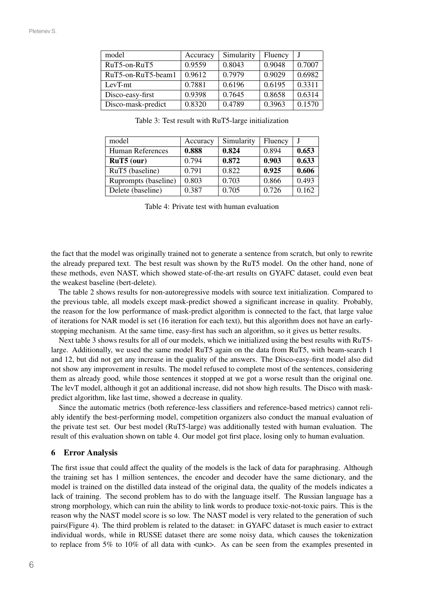| model              | Accuracy | Simularity | Fluency |        |
|--------------------|----------|------------|---------|--------|
| RuT5-on-RuT5       | 0.9559   | 0.8043     | 0.9048  | 0.7007 |
| RuT5-on-RuT5-beam1 | 0.9612   | 0.7979     | 0.9029  | 0.6982 |
| LevT-mt            | 0.7881   | 0.6196     | 0.6195  | 0.3311 |
| Disco-easy-first   | 0.9398   | 0.7645     | 0.8658  | 0.6314 |
| Disco-mask-predict | 0.8320   | 0.4789     | 0.3963  | 0.1570 |

Table 3: Test result with RuT5-large initialization

| model                | Accuracy | Simularity | Fluency |       |
|----------------------|----------|------------|---------|-------|
| Human References     | 0.888    | 0.824      | 0.894   | 0.653 |
| $RuT5$ (our)         | 0.794    | 0.872      | 0.903   | 0.633 |
| RuT5 (baseline)      | 0.791    | 0.822      | 0.925   | 0.606 |
| Ruprompts (baseline) | 0.803    | 0.703      | 0.866   | 0.493 |
| Delete (baseline)    | 0.387    | 0.705      | 0.726   | 0.162 |

Table 4: Private test with human evaluation

the fact that the model was originally trained not to generate a sentence from scratch, but only to rewrite the already prepared text. The best result was shown by the RuT5 model. On the other hand, none of these methods, even NAST, which showed state-of-the-art results on GYAFC dataset, could even beat the weakest baseline (bert-delete).

The table 2 shows results for non-autoregressive models with source text initialization. Compared to the previous table, all models except mask-predict showed a significant increase in quality. Probably, the reason for the low performance of mask-predict algorithm is connected to the fact, that large value of iterations for NAR model is set (16 iteration for each text), but this algorithm does not have an earlystopping mechanism. At the same time, easy-first has such an algorithm, so it gives us better results.

Next table 3 shows results for all of our models, which we initialized using the best results with RuT5 large. Additionally, we used the same model RuT5 again on the data from RuT5, with beam-search 1 and 12, but did not get any increase in the quality of the answers. The Disco-easy-first model also did not show any improvement in results. The model refused to complete most of the sentences, considering them as already good, while those sentences it stopped at we got a worse result than the original one. The levT model, although it got an additional increase, did not show high results. The Disco with maskpredict algorithm, like last time, showed a decrease in quality.

Since the automatic metrics (both reference-less classifiers and reference-based metrics) cannot reliably identify the best-performing model, competition organizers also conduct the manual evaluation of the private test set. Our best model (RuT5-large) was additionally tested with human evaluation. The result of this evaluation shown on table 4. Our model got first place, losing only to human evaluation.

#### 6 Error Analysis

The first issue that could affect the quality of the models is the lack of data for paraphrasing. Although the training set has 1 million sentences, the encoder and decoder have the same dictionary, and the model is trained on the distilled data instead of the original data, the quality of the models indicates a lack of training. The second problem has to do with the language itself. The Russian language has a strong morphology, which can ruin the ability to link words to produce toxic-not-toxic pairs. This is the reason why the NAST model score is so low. The NAST model is very related to the generation of such pairs(Figure 4). The third problem is related to the dataset: in GYAFC dataset is much easier to extract individual words, while in RUSSE dataset there are some noisy data, which causes the tokenization to replace from 5% to 10% of all data with <unk>. As can be seen from the examples presented in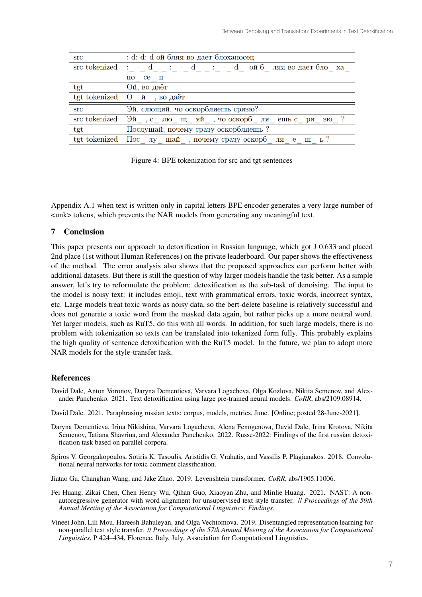| $\operatorname{src}$                                                                                                                                                                                                                                                                                                                                                                                                                                                                                                                                             | :-d:-d:-d ой бляя во дает блоханосец                                                  |
|------------------------------------------------------------------------------------------------------------------------------------------------------------------------------------------------------------------------------------------------------------------------------------------------------------------------------------------------------------------------------------------------------------------------------------------------------------------------------------------------------------------------------------------------------------------|---------------------------------------------------------------------------------------|
|                                                                                                                                                                                                                                                                                                                                                                                                                                                                                                                                                                  | src tokenized : $- - d$ : $- - d$ $-$ : $- - d$ $-$ : $- - d$ ой б ляя во дает бло ха |
|                                                                                                                                                                                                                                                                                                                                                                                                                                                                                                                                                                  | но се ц                                                                               |
| $\mathrm{tgt}% \left( \mathcal{N}\right) \equiv\left( \mathcal{N}\right) \equiv\left( \mathcal{N}\right) \equiv\left( \mathcal{N}\right) \equiv\left( \mathcal{N}\right) \equiv\left( \mathcal{N}\right) \equiv\left( \mathcal{N}\right) \equiv\left( \mathcal{N}\right) \equiv\left( \mathcal{N}\right) \equiv\left( \mathcal{N}\right) \equiv\left( \mathcal{N}\right) \equiv\left( \mathcal{N}\right) \equiv\left( \mathcal{N}\right) \equiv\left( \mathcal{N}\right) \equiv\left( \mathcal{N}\right) \equiv\left( \mathcal{N}\right) \equiv\left( \mathcal{$ | Ой, во даёт                                                                           |
|                                                                                                                                                                                                                                                                                                                                                                                                                                                                                                                                                                  | tgt tokenized $\sigma$ $\ddot{n}$ , bo gaër                                           |
| $\operatorname{src}$                                                                                                                                                                                                                                                                                                                                                                                                                                                                                                                                             | Эй, слющяй, чо оскорбляешь срязю?                                                     |
|                                                                                                                                                                                                                                                                                                                                                                                                                                                                                                                                                                  | src tokenized $\Im$ й, слюдцяй, чо оскорблядень срязю?                                |
| $\mathrm{tgt}% \left( \mathcal{M}\right) \equiv\left( \mathcal{M}\right) \equiv\left( \mathcal{M}\right) \equiv\left( \mathcal{M}\right) \equiv\left( \mathcal{M}\right) \equiv\left( \mathcal{M}\right) \equiv\left( \mathcal{M}\right) \equiv\left( \mathcal{M}\right) \equiv\left( \mathcal{M}\right) \equiv\left( \mathcal{M}\right) \equiv\left( \mathcal{M}\right) \equiv\left( \mathcal{M}\right) \equiv\left( \mathcal{M}\right) \equiv\left( \mathcal{M}\right) \equiv\left( \mathcal{M}\right) \equiv\left( \mathcal{M}\right) \equiv\left( \mathcal{$ | Послушай, почему сразу оскорбляешь?                                                   |
|                                                                                                                                                                                                                                                                                                                                                                                                                                                                                                                                                                  | tgt tokenized Пос лу шай, почему сразу оскорб ля е ш ь?                               |

Figure 4: BPE tokenization for src and tgt sentences

Appendix A.1 when text is written only in capital letters BPE encoder generates a very large number of <unk> tokens, which prevents the NAR models from generating any meaningful text.

# 7 Conclusion

This paper presents our approach to detoxification in Russian language, which got J 0.633 and placed 2nd place (1st without Human References) on the private leaderboard. Our paper shows the effectiveness of the method. The error analysis also shows that the proposed approaches can perform better with additional datasets. But there is still the question of why larger models handle the task better. As a simple answer, let's try to reformulate the problem: detoxification as the sub-task of denoising. The input to the model is noisy text: it includes emoji, text with grammatical errors, toxic words, incorrect syntax, etc. Large models treat toxic words as noisy data, so the bert-delete baseline is relatively successful and does not generate a toxic word from the masked data again, but rather picks up a more neutral word. Yet larger models, such as RuT5, do this with all words. In addition, for such large models, there is no problem with tokenization so texts can be translated into tokenized form fully. This probably explains the high quality of sentence detoxification with the RuT5 model. In the future, we plan to adopt more NAR models for the style-transfer task.

## **References**

- David Dale, Anton Voronov, Daryna Dementieva, Varvara Logacheva, Olga Kozlova, Nikita Semenov, and Alexander Panchenko. 2021. Text detoxification using large pre-trained neural models. *CoRR*, abs/2109.08914.
- David Dale. 2021. Paraphrasing russian texts: corpus, models, metrics, June. [Online; posted 28-June-2021].
- Daryna Dementieva, Irina Nikishina, Varvara Logacheva, Alena Fenogenova, David Dale, Irina Krotova, Nikita Semenov, Tatiana Shavrina, and Alexander Panchenko. 2022. Russe-2022: Findings of the first russian detoxification task based on parallel corpora.
- Spiros V. Georgakopoulos, Sotiris K. Tasoulis, Aristidis G. Vrahatis, and Vassilis P. Plagianakos. 2018. Convolutional neural networks for toxic comment classification.
- Jiatao Gu, Changhan Wang, and Jake Zhao. 2019. Levenshtein transformer. *CoRR*, abs/1905.11006.
- Fei Huang, Zikai Chen, Chen Henry Wu, Qihan Guo, Xiaoyan Zhu, and Minlie Huang. 2021. NAST: A nonautoregressive generator with word alignment for unsupervised text style transfer. // *Proceedings of the 59th Annual Meeting of the Association for Computational Linguistics: Findings*.
- Vineet John, Lili Mou, Hareesh Bahuleyan, and Olga Vechtomova. 2019. Disentangled representation learning for non-parallel text style transfer. // *Proceedings of the 57th Annual Meeting of the Association for Computational Linguistics*, P 424–434, Florence, Italy, July. Association for Computational Linguistics.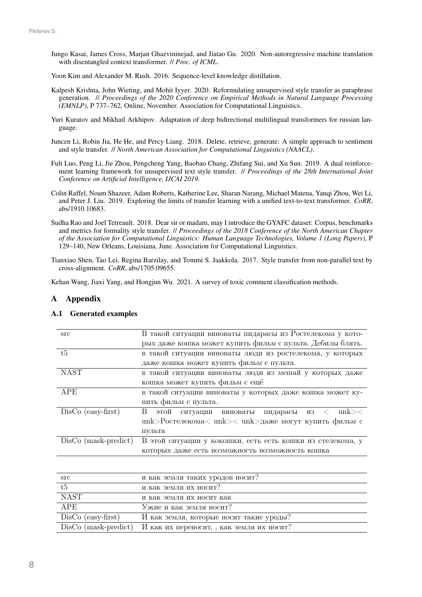- Jungo Kasai, James Cross, Marjan Ghazvininejad, and Jiatao Gu. 2020. Non-autoregressive machine translation with disentangled context transformer. // *Proc. of ICML*.
- Yoon Kim and Alexander M. Rush. 2016. Sequence-level knowledge distillation.
- Kalpesh Krishna, John Wieting, and Mohit Iyyer. 2020. Reformulating unsupervised style transfer as paraphrase generation. // *Proceedings of the 2020 Conference on Empirical Methods in Natural Language Processing (EMNLP)*, P 737–762, Online, November. Association for Computational Linguistics.
- Yuri Kuratov and Mikhail Arkhipov. Adaptation of deep bidirectional multilingual transformers for russian language.
- Juncen Li, Robin Jia, He He, and Percy Liang. 2018. Delete, retrieve, generate: A simple approach to sentiment and style transfer. // *North American Association for Computational Linguistics (NAACL)*.
- Fuli Luo, Peng Li, Jie Zhou, Pengcheng Yang, Baobao Chang, Zhifang Sui, and Xu Sun. 2019. A dual reinforcement learning framework for unsupervised text style transfer. // *Proceedings of the 28th International Joint Conference on Artificial Intelligence, IJCAI 2019*.
- Colin Raffel, Noam Shazeer, Adam Roberts, Katherine Lee, Sharan Narang, Michael Matena, Yanqi Zhou, Wei Li, and Peter J. Liu. 2019. Exploring the limits of transfer learning with a unified text-to-text transformer. *CoRR*, abs/1910.10683.
- Sudha Rao and Joel Tetreault. 2018. Dear sir or madam, may I introduce the GYAFC dataset: Corpus, benchmarks and metrics for formality style transfer. // *Proceedings of the 2018 Conference of the North American Chapter of the Association for Computational Linguistics: Human Language Technologies, Volume 1 (Long Papers)*, P 129–140, New Orleans, Louisiana, June. Association for Computational Linguistics.
- Tianxiao Shen, Tao Lei, Regina Barzilay, and Tommi S. Jaakkola. 2017. Style transfer from non-parallel text by cross-alignment. *CoRR*, abs/1705.09655.

Kehan Wang, Jiaxi Yang, and Hongjun Wu. 2021. A survey of toxic comment classification methods.

## A Appendix

### A.1 Generated examples

| src                    | В такой ситуации виноваты пидарасы из Ростелекома у кото-     |  |  |
|------------------------|---------------------------------------------------------------|--|--|
|                        | рых даже кошка может купить фильм с пульта. Дебилы блять.     |  |  |
| $t\overline{5}$        | в такой ситуации виноваты люди из ростелекома, у которых      |  |  |
|                        | даже кошка может купить фильм с пульта.                       |  |  |
| <b>NAST</b>            | в такой ситуации виноваты люди из мешай у которых даже        |  |  |
|                        | кошка может купить фильм с ещё                                |  |  |
| <b>APE</b>             | в такой ситуации виноваты у которых даже кошка может ку-      |  |  |
|                        | пить фильм с пульта.                                          |  |  |
| $DisCo$ (easy-first)   | B<br>$\n  <$<br>этой<br>ситуации виноваты пидарасы<br>из <    |  |  |
|                        | unk>Ростелекома< unk> $\langle$ unk>даже могут купить фильм с |  |  |
|                        | пульта                                                        |  |  |
| $DisCo$ (mask-predict) | В этой ситуации у кокошки, есть есть кошки из стелекома, у    |  |  |
|                        | которых даже есть возможность возможность кошка               |  |  |

| src                    | и как земля таких уродов носит?           |
|------------------------|-------------------------------------------|
| t5                     | и как земля их носит?                     |
| NAST                   | и как земля их носит как                  |
| APE                    | Ужие и как земля носит?                   |
| $DisCo$ (easy-first)   | И как земля, которые носят такие уроды?   |
| $DisCo$ (mask-predict) | И как их переносит, , как земля их носит? |